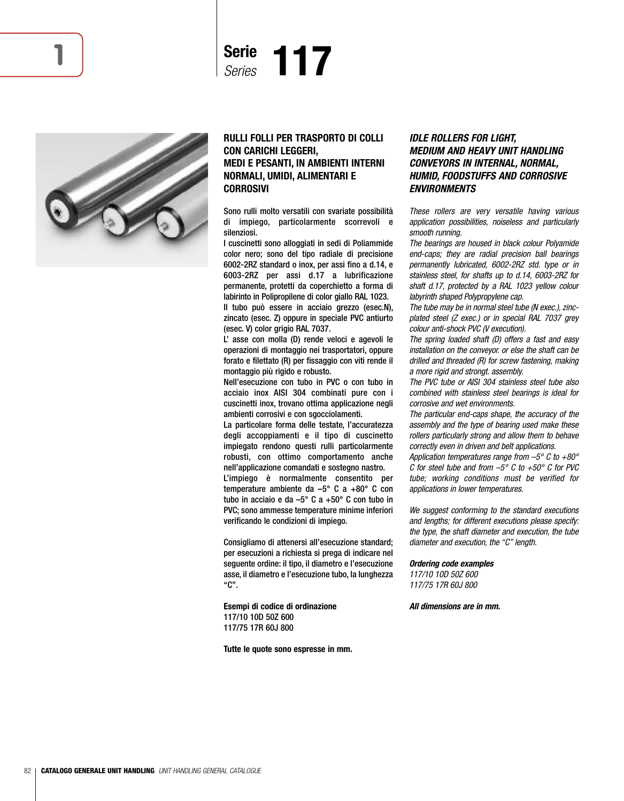





## **RULLI FOLLI PER TRASPORTO DI COLLI CON CARICHI LEGGERI, MEDI E PESANTI, IN AMBIENTI INTERNI NORMALI, UMIDI, ALIMENTARI E CORROSIVI**

Sono rulli molto versatili con svariate possibilità di impiego, particolarmente scorrevoli e silenziosi.

I cuscinetti sono alloggiati in sedi di Poliammide color nero; sono del tipo radiale di precisione 6002-2RZ standard o inox, per assi fino a d.14, e 6003-2RZ per assi d.17 a lubrificazione permanente, protetti da coperchietto a forma di labirinto in Polipropilene di color giallo RAL 1023.

Il tubo può essere in acciaio grezzo (esec.N), zincato (esec. Z) oppure in speciale PVC antiurto (esec. V) color grigio RAL 7037.

L' asse con molla (D) rende veloci e agevoli le operazioni di montaggio nei trasportatori, oppure forato e filettato (R) per fissaggio con viti rende il montaggio più rigido e robusto.

Nell'esecuzione con tubo in PVC o con tubo in acciaio inox AISI 304 combinati pure con i cuscinetti inox, trovano ottima applicazione negli ambienti corrosivi e con sgocciolamenti.

La particolare forma delle testate, l'accuratezza degli accoppiamenti e il tipo di cuscinetto impiegato rendono questi rulli particolarmente robusti, con ottimo comportamento anche nell'applicazione comandati e sostegno nastro. L'impiego è normalmente consentito per temperature ambiente da –5° C a +80° C con tubo in acciaio e da –5° C a +50° C con tubo in PVC; sono ammesse temperature minime inferiori verificando le condizioni di impiego.

Consigliamo di attenersi all'esecuzione standard; per esecuzioni a richiesta si prega di indicare nel seguente ordine: il tipo, il diametro e l'esecuzione asse, il diametro e l'esecuzione tubo, la lunghezza "C".

**Esempi di codice di ordinazione** 117/10 10D 50Z 600 117/75 17R 60J 800

**Tutte le quote sono espresse in mm.**

## *IDLE ROLLERS FOR LIGHT, MEDIUM AND HEAVY UNIT HANDLING CONVEYORS IN INTERNAL, NORMAL, HUMID, FOODSTUFFS AND CORROSIVE ENVIRONMENTS*

These rollers are very versatile having various application possibilities, noiseless and particularly smooth running.

The bearings are housed in black colour Polyamide end-caps; they are radial precision ball bearings permanently lubricated, 6002-2RZ std. type or in stainless steel, for shafts up to d.14, 6003-2RZ for shaft d.17, protected by a RAL 1023 yellow colour labyrinth shaped Polypropylene cap.

The tube may be in normal steel tube (N exec.), zincplated steel (Z exec.) or in special RAL 7037 grey colour anti-shock PVC (V execution).

The spring loaded shaft (D) offers a fast and easy installation on the conveyor. or else the shaft can be drilled and threaded (R) for screw fastening, making a more rigid and strongt. assembly.

The PVC tube or AISI 304 stainless steel tube also combined with stainless steel bearings is ideal for corrosive and wet environments.

The particular end-caps shape, the accuracy of the assembly and the type of bearing used make these rollers particularly strong and allow them to behave correctly even in driven and belt applications.

Application temperatures range from  $-5^{\circ}$  C to  $+80^{\circ}$ C for steel tube and from  $-5^{\circ}$  C to  $+50^{\circ}$  C for PVC tube; working conditions must be verified for applications in lower temperatures.

We suggest conforming to the standard executions and lengths; for different executions please specify: the type, the shaft diameter and execution, the tube diameter and execution, the "C" length.

#### *Ordering code examples*

117/10 10D 50Z 600 117/75 17R 60J 800

*All dimensions are in mm.*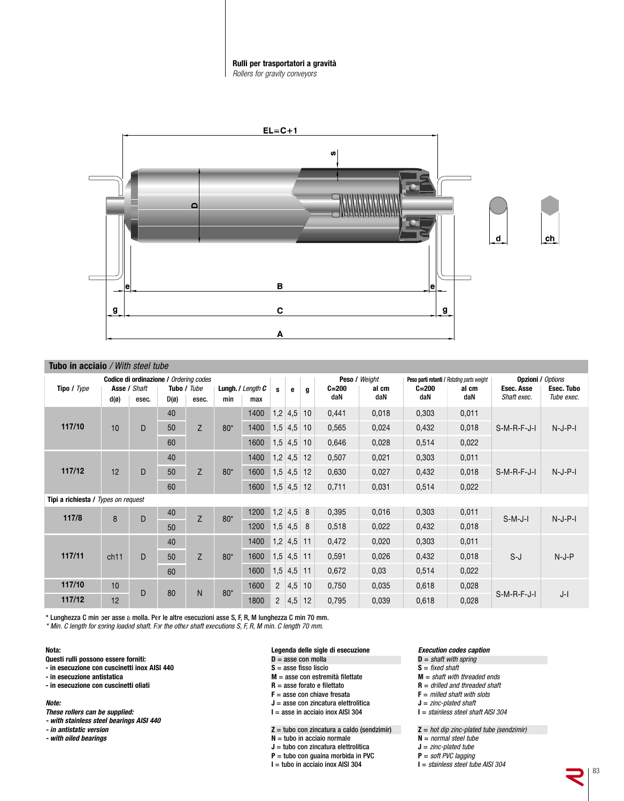#### **Rulli per trasportatori a gravità** *Rollers for gravity conveyors*



|                                     | <b>Tubo in acciaio</b> / With steel tube |                                        |                |             |       |                              |                |           |    |                  |              |                  |                                            |                           |                          |
|-------------------------------------|------------------------------------------|----------------------------------------|----------------|-------------|-------|------------------------------|----------------|-----------|----|------------------|--------------|------------------|--------------------------------------------|---------------------------|--------------------------|
|                                     |                                          | Codice di ordinazione / Ordering codes |                |             |       |                              |                |           |    | Peso / Weight    |              |                  | Peso parti rotanti / Rotating parts weight |                           | <b>Opzioni / Options</b> |
| Tipo / Type                         |                                          | Asse / Shaft                           |                | Tubo / Tube |       | <b>Lungh.</b> $I$ Length $C$ | s              | е         | g  | $C = 200$<br>daN | al cm<br>daN | $C = 200$<br>daN | al cm<br>daN                               | Esec. Asse<br>Shaft exec. | Esec. Tubo<br>Tube exec. |
|                                     | $d(\varnothing)$                         | esec.                                  | $D(\emptyset)$ | esec.       | min   | max                          |                |           |    |                  |              |                  |                                            |                           |                          |
|                                     |                                          |                                        | 40             |             |       | 1400                         |                | $1,2$ 4,5 | 10 | 0,441            | 0,018        | 0,303            | 0,011                                      |                           |                          |
| 117/10                              | 10                                       | D                                      | 50             | Z           | $80*$ | 1400                         | 1,5            | 4,5       | 10 | 0,565            | 0,024        | 0,432            | 0,018                                      | $S-M-R-F-J-I$             | $N-J-P-I$                |
|                                     |                                          |                                        | 60             |             |       | 1600                         |                | $1,5$ 4,5 | 10 | 0,646            | 0,028        | 0,514            | 0,022                                      |                           |                          |
|                                     |                                          |                                        | 40             |             |       | 1400                         |                | $1,2$ 4,5 | 12 | 0,507            | 0,021        | 0,303            | 0,011                                      |                           |                          |
| 117/12                              | 12                                       | D                                      | 50             | Z           | $80*$ | 1600                         |                | $1,5$ 4,5 | 12 | 0,630            | 0,027        | 0,432            | 0,018                                      | $S-M-R-F-J-I$             | $N-J-P-I$                |
|                                     |                                          |                                        | 60             |             |       | 1600                         |                | $1,5$ 4,5 | 12 | 0,711            | 0,031        | 0,514            | 0,022                                      |                           |                          |
| Tipi a richiesta / Types on request |                                          |                                        |                |             |       |                              |                |           |    |                  |              |                  |                                            |                           |                          |
| 117/8                               | 8                                        | D                                      | 40             | Z           | $80*$ | 1200                         |                | $1,2$ 4,5 | 8  | 0,395            | 0,016        | 0,303            | 0,011                                      | $S-M-J-I$                 | $N-J-P-I$                |
|                                     |                                          |                                        | 50             |             |       | 1200                         |                | $1,5$ 4.5 | 8  | 0,518            | 0,022        | 0,432            | 0,018                                      |                           |                          |
|                                     |                                          |                                        | 40             |             |       | 1400                         |                | $1,2$ 4,5 | 11 | 0,472            | 0,020        | 0,303            | 0,011                                      |                           |                          |
| 117/11                              | ch11                                     | D                                      | 50             | Z           | $80*$ | 1600                         |                | $1,5$ 4,5 | 11 | 0,591            | 0,026        | 0,432            | 0,018                                      | $S-J$                     | $N-J-P$                  |
|                                     |                                          |                                        | 60             |             |       | 1600                         |                | $1,5$ 4,5 | 11 | 0,672            | 0,03         | 0,514            | 0,022                                      |                           |                          |
| 117/10                              | 10                                       | D                                      | 80             | N           | $80*$ | 1600                         | $\overline{2}$ | 4,5       | 10 | 0,750            | 0,035        | 0,618            | 0,028                                      |                           |                          |
| 117/12                              | 12                                       |                                        |                |             |       | 1800                         | $\overline{2}$ | 4,5       | 12 | 0,795            | 0,039        | 0,618            | 0,028                                      | $S-M-R-F-J-I$             | $J-I$                    |

\* Lunghezza C min per asse a molla. Per le altre esecuzioni asse S, F, R, M lunghezza C min 70 mm.

\* Min. C length for spring loaded shaft. For the other shaft executions S, F, R, M min. C length 70 mm.

#### **Nota:**

- **Questi rulli possono essere forniti:**
- **- in esecuzione con cuscinetti inox AISI 440**
- **- in esecuzione antistatica**
- **- in esecuzione con cuscinetti oliati**

#### *Note:*

- *These rollers can be supplied:*
- *- with stainless steel bearings AISI 440*
- *- in antistatic version*
- *- with oiled bearings*

## **Legenda delle sigle di esecuzione**

- **D** = asse con molla
- **S** = asse fisso liscio
- **M** = asse con estremità filettate
- **R** = asse forato e filettato
- **F** = asse con chiave fresata
- **J** = asse con zincatura elettrolitica
- **I** = asse in acciaio inox AISI 304

**Z** = tubo con zincatura a caldo (sendzimir)

- **N** = tubo in acciaio normale
- **J** = tubo con zincatura elettrolitica
- **P** = tubo con guaina morbida in PVC
- $I =$  tubo in acciaio inox AISI 304

## *Execution codes caption*

- **D** = shaft with spring
- $S = fixed shaft$
- **M** = shaft with threaded ends
- **R** = drilled and threaded shaft
- $$
- **J** = zinc-plated shaft
- **I** = stainless steel shaft AISI 304

 $Z = hot dip zinc-plated tube (sendzimir)$ 

- **N** = normal steel tube
- **J** = zinc-plated tube
- **P** = soft PVC lagging
- **I** = stainless steel tube AISI 304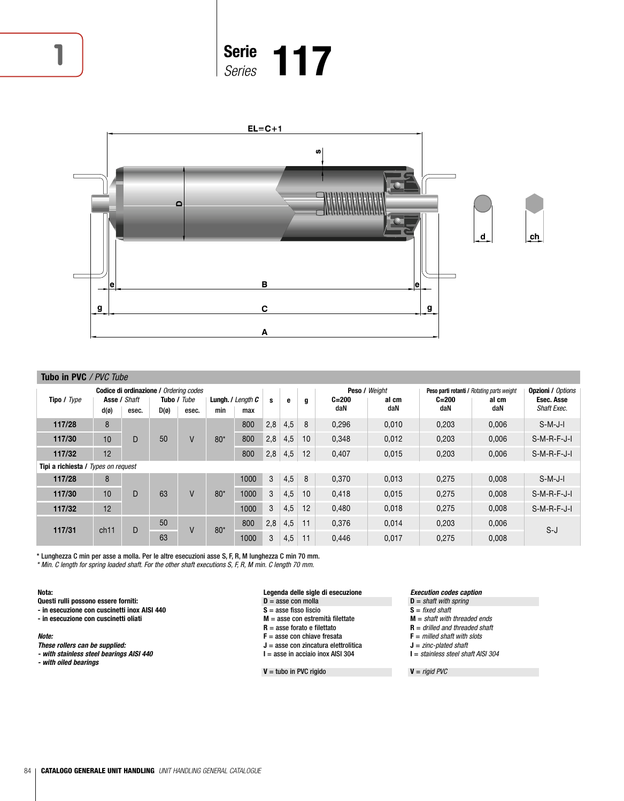

# **Serie <sup>1</sup>** *Series* **117**



|                                     | Tubo in PVC / PVC Tube |                                        |                |                      |       |                                                   |     |     |    |                  |               |                  |                                            |                           |
|-------------------------------------|------------------------|----------------------------------------|----------------|----------------------|-------|---------------------------------------------------|-----|-----|----|------------------|---------------|------------------|--------------------------------------------|---------------------------|
|                                     |                        | Codice di ordinazione / Ordering codes |                |                      |       |                                                   |     |     |    |                  | Peso / Weight |                  | Peso parti rotanti / Rotating parts weight | <b>Opzioni / Options</b>  |
| Tipo / Type                         | $d(\emptyset)$         | Asse / Shaft<br>esec.                  | $D(\emptyset)$ | Tubo / Tube<br>esec. | min   | <b>Lungh.</b> $\prime$ Length $\mathcal C$<br>max | s   | е   | a  | $C = 200$<br>daN | al cm<br>daN  | $C = 200$<br>daN | al cm<br>daN                               | Esec. Asse<br>Shaft Exec. |
| 117/28                              | 8                      |                                        |                |                      |       | 800                                               | 2,8 | 4,5 | 8  | 0.296            | 0,010         | 0.203            | 0.006                                      | $S-M-J-I$                 |
| 117/30                              | 10                     | D                                      | 50             | V                    | $80*$ | 800                                               | 2,8 | 4,5 | 10 | 0,348            | 0,012         | 0,203            | 0,006                                      | $S-M-R-F-J-I$             |
| 117/32                              | 12                     |                                        |                |                      |       | 800                                               | 2,8 | 4,5 | 12 | 0,407            | 0,015         | 0,203            | 0,006                                      | $S-M-R-F-J-I$             |
| Tipi a richiesta / Types on request |                        |                                        |                |                      |       |                                                   |     |     |    |                  |               |                  |                                            |                           |
| 117/28                              | 8                      |                                        |                |                      |       | 1000                                              | 3   | 4,5 | 8  | 0.370            | 0.013         | 0.275            | 0.008                                      | $S-M-J-I$                 |
| 117/30                              | 10                     | D                                      | 63             | $\vee$               | $80*$ | 1000                                              | 3   | 4,5 | 10 | 0,418            | 0,015         | 0,275            | 0,008                                      | $S-M-R-F-J-I$             |
| 117/32                              | 12                     |                                        |                |                      |       | 1000                                              | 3   | 4,5 | 12 | 0.480            | 0,018         | 0,275            | 0,008                                      | $S-M-R-F-J-I$             |
| 117/31                              | ch11                   | D                                      | 50             | V                    | $80*$ | 800                                               | 2,8 | 4,5 | 11 | 0.376            | 0,014         | 0,203            | 0,006                                      | $S-J$                     |
|                                     |                        |                                        | 63             |                      |       | 1000                                              | 3   | 4,5 | 11 | 0.446            | 0.017         | 0.275            | 0.008                                      |                           |

\* Lunghezza C min per asse a molla. Per le altre esecuzioni asse S, F, R, M lunghezza C min 70 mm. \* Min. C length for spring loaded shaft. For the other shaft executions S, F, R, M min. C length 70 mm.

#### **Nota:**

**Questi rulli possono essere forniti:**

- **- in esecuzione con cuscinetti inox AISI 440**
- **- in esecuzione con cuscinetti oliati**

### *Note:*

- *These rollers can be supplied:*
- *- with stainless steel bearings AISI 440*
- *- with oiled bearings*
- **Legenda delle sigle di esecuzione**
- $D =$ asse con molla
- **S** = asse fisso liscio
- **M** = asse con estremità filettate **R** = asse forato e filettato
- **F** = asse con chiave fresata
- **J** = asse con zincatura elettrolitica
- **I** = asse in acciaio inox AISI 304

#### **V** = tubo in PVC rigido

#### *Execution codes caption*

- **D** = shaft with spring
- $S = fixed shaft$
- **M** = shaft with threaded ends
- $R =$  drilled and threaded shaft **F** = milled shaft with slots
- **J** = zinc-plated shaft
- **I** = stainless steel shaft AISI 304

 $V =$  rigid PVC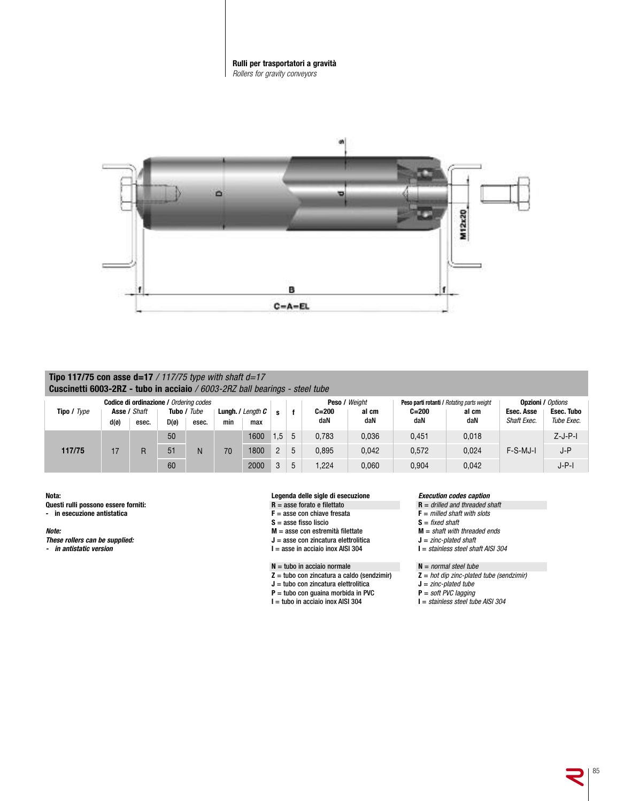



## **Tipo 117/75 con asse d=17** / 117/75 type with shaft d=17 **Cuscinetti 6003-2RZ - tubo in acciaio** / 6003-2RZ ball bearings - steel tube

| Tipo / Type |                  | Codice di ordinazione / Ordering codes<br>Asse / Shaft |                | Tubo / Tube |     | <b>Lungh.</b> $/$ Length $C$<br>s |                |   | Peso / Weight<br>$C = 200$<br>al cm |       | Peso parti rotanti / Rotating parts weight<br>$C = 200$<br>al cm |       | <b>Opzioni / Options</b><br>Esec. Tubo<br>Esec. Asse<br>Shaft Exec.<br>Tube Exec. |           |
|-------------|------------------|--------------------------------------------------------|----------------|-------------|-----|-----------------------------------|----------------|---|-------------------------------------|-------|------------------------------------------------------------------|-------|-----------------------------------------------------------------------------------|-----------|
|             | $d(\varnothing)$ | esec.                                                  | $D(\emptyset)$ | esec.       | min | max                               |                |   | daN                                 | daN   | daN                                                              | daN   |                                                                                   |           |
|             |                  |                                                        | 50             |             |     | 1600                              | 1.5            | 5 | 0,783                               | 0,036 | 0,451                                                            | 0,018 |                                                                                   | $Z-J-P-I$ |
| 117/75      | 17               |                                                        | 51             | N           | 70  | 1800                              | $\overline{2}$ | 5 | 0,895                               | 0,042 | 0,572                                                            | 0.024 | F-S-MJ-I                                                                          | J-P       |
|             |                  |                                                        | 60             |             |     | 2000                              | 3              | 5 | .224                                | 0,060 | 0,904                                                            | 0,042 |                                                                                   | J-P-I     |

**Nota:**

**Questi rulli possono essere forniti:**

**- in esecuzione antistatica**

*Note:*

- *These rollers can be supplied:*
- *in antistatic version*

#### **Legenda delle sigle di esecuzione**

- **R** = asse forato e filettato
- **F** = asse con chiave fresata
- **S** = asse fisso liscio
- **M** = asse con estremità filettate
- **J** = asse con zincatura elettrolitica **I** = asse in acciaio inox AISI 304
- **N** = tubo in acciaio normale
- **Z** = tubo con zincatura a caldo (sendzimir)
- **J** = tubo con zincatura elettrolitica
- **P** = tubo con guaina morbida in PVC
- **I** = tubo in acciaio inox AISI 304

#### *Execution codes caption*

- **R** = drilled and threaded shaft
- $$
- $S = fixed shaft$
- **M** = shaft with threaded ends
- **J** = zinc-plated shaft
- **I** = stainless steel shaft AISI 304

**N** = normal steel tube

- **Z** = hot dip zinc-plated tube (sendzimir)
- **J** = zinc-plated tube
- **P** = soft PVC lagging
- $I =$  stainless steel tube AISI 304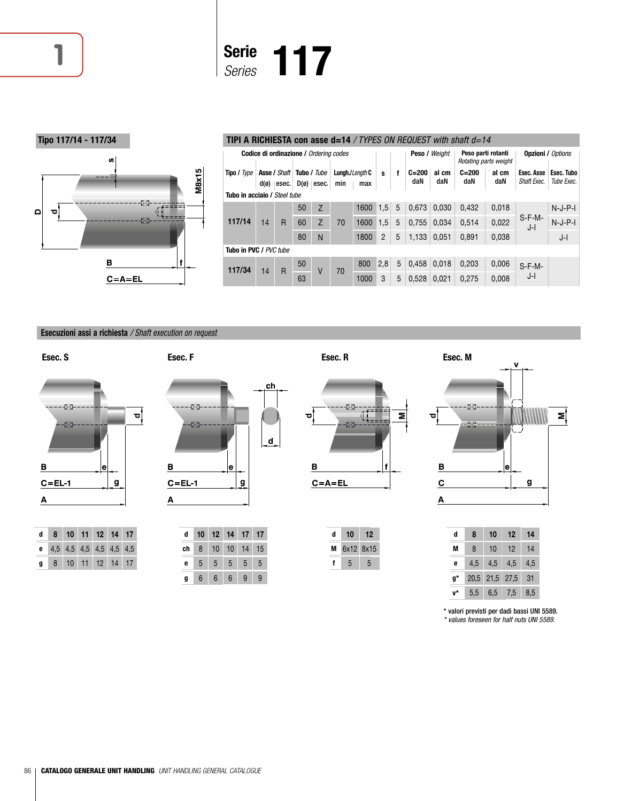



## **Tipo 117/14 - 117/34 TIPI A RICHIESTA con asse d=14** / TYPES ON REQUEST with shaft d=14

|                              | Codice di ordinazione / Orderina codes |                                             |                |                      |     |                        |                |   |                  | Peso / Weight |                  | Peso parti rotanti<br>Rotating parts weight |                           | <b>Opzioni / Options</b> |
|------------------------------|----------------------------------------|---------------------------------------------|----------------|----------------------|-----|------------------------|----------------|---|------------------|---------------|------------------|---------------------------------------------|---------------------------|--------------------------|
| Tipo / Type                  |                                        | <b>Asse / Shaft</b><br>$d(\emptyset)$ esec. | $D(\emptyset)$ | Tubo / Tube<br>esec. | min | Lungh./Length C<br>max | s              | f | $C = 200$<br>daN | al cm<br>daN  | $C = 200$<br>daN | al cm<br>daN                                | Esec. Asse<br>Shaft Exec. | Esec. Tubo<br>Tube Exec. |
| Tubo in acciaio / Steel tube |                                        |                                             |                |                      |     |                        |                |   |                  |               |                  |                                             |                           |                          |
|                              |                                        |                                             | 50             | Z                    |     | 1600                   | 1.5            | 5 | 0.673            | 0.030         | 0.432            | 0.018                                       |                           | $N-J-P-I$                |
| 117/14                       | 14                                     | $\overline{R}$                              | 60             | Z                    | 70  | 1600                   | 1,5            | 5 | 0,755            | 0.034         | 0,514            | 0,022                                       | $S-F-M-$<br>J-l           | $N-J-P-I$                |
|                              |                                        |                                             | 80             | N                    |     | 1800                   | $\overline{2}$ | 5 | 1,133            | 0.051         | 0,891            | 0,038                                       |                           | J-l                      |
|                              | Tubo in PVC / PVC tube                 |                                             |                |                      |     |                        |                |   |                  |               |                  |                                             |                           |                          |
| 117/34                       | 14                                     |                                             | 50             |                      |     | 800                    | 2,8            | 5 | 0.458            | 0.018         | 0,203            | 0.006                                       | $S-F-M-$                  |                          |
|                              |                                        | R                                           | 63             | V                    | 70  | 1000                   | 3              | 5 | 0.528            | 0.021         | 0.275            | 0,008                                       | J-l                       |                          |

## **Esecuzioni assi a richiesta** / Shaft execution on request

**Esec. S Esec. F Esec. R Esec. M**



|  | d 8 10 11 12 14 17        |  |  |  |
|--|---------------------------|--|--|--|
|  | e 4,5 4,5 4,5 4,5 4,5 4,5 |  |  |  |
|  | g 8 10 11 12 14 17        |  |  |  |

| -23<br>-23 |   | ch<br>d |
|------------|---|---------|
| В          | е |         |
| $C = EL$ 1 | g |         |
| А          |   |         |

| d  |                 | 10 12 14 17    |                 |                 | 17              |
|----|-----------------|----------------|-----------------|-----------------|-----------------|
| ch | 8               |                | 10 10 14 15     |                 |                 |
| e  | 5 <sub>5</sub>  | 5 <sup>5</sup> | $5\overline{)}$ | $5\overline{)}$ | $5\phantom{.0}$ |
|    | $6\phantom{.}6$ | 6              | 6               | 9               | g               |



| d | 10          | 12 |
|---|-------------|----|
|   | M 6x12 8x15 |    |
|   | 5           | 5  |

| Ō             |   | ΣŠ<br>S∑. |    | V  |    | Σ |
|---------------|---|-----------|----|----|----|---|
|               |   |           |    | е  |    |   |
| $\frac{B}{C}$ |   |           |    |    | g  |   |
|               |   |           |    |    |    |   |
|               | d | 8         | 10 | 12 | 14 |   |

| u  | Ω   | ιu        | LZ             |     |
|----|-----|-----------|----------------|-----|
| М  | 8   | 10        | 12             | 14  |
| e  | 4,5 | $4.5$ 4.5 |                | 4,5 |
| g* |     |           | 20,5 21,5 27,5 | -31 |
|    | 5,5 | 6,5       | 7,5            | 8,5 |

\* valori previsti per dadi bassi UNI 5589. \* values foreseen for half nuts UNI 5589.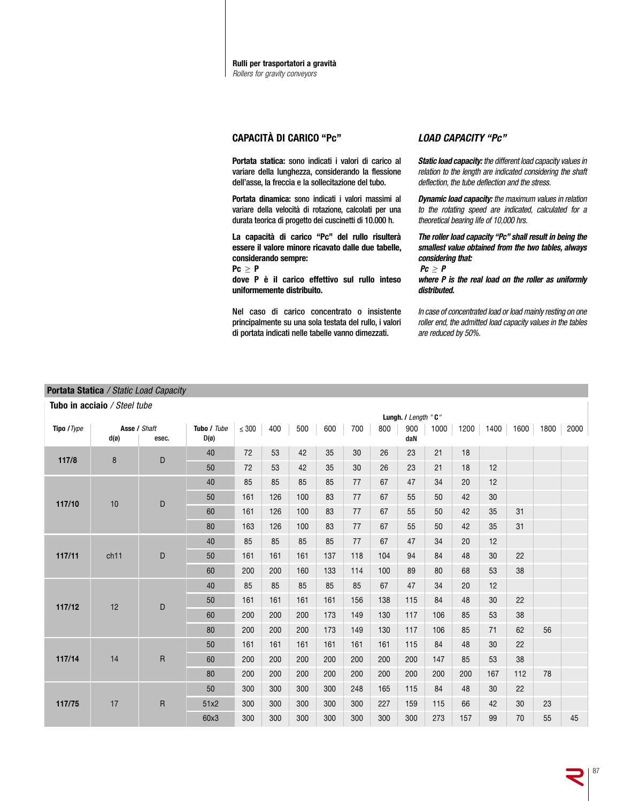

## **CAPACITÀ DI CARICO "Pc"**

**Portata statica:** sono indicati i valori di carico al variare della lunghezza, considerando la flessione dell'asse, la freccia e la sollecitazione del tubo.

**Portata dinamica:** sono indicati i valori massimi al variare della velocità di rotazione, calcolati per una durata teorica di progetto dei cuscinetti di 10.000 h.

**La capacità di carico "Pc" del rullo risulterà essere il valore minore ricavato dalle due tabelle, considerando sempre:**

**Pc ≥ P**

**dove P è il carico effettivo sul rullo inteso uniformemente distribuito.**

Nel caso di carico concentrato o insistente principalmente su una sola testata del rullo, i valori di portata indicati nelle tabelle vanno dimezzati.

## *LOAD CAPACITY "Pc"*

*Static load capacity:* the different load capacity values in relation to the length are indicated considering the shaft deflection, the tube deflection and the stress.

*Dynamic load capacity:* the maximum values in relation to the rotating speed are indicated, calculated for a theoretical bearing life of 10,000 hrs.

*The roller load capacity "Pc" shall result in being the smallest value obtained from the two tables, always considering that:*

*Pc ≥ P*

*where P is the real load on the roller as uniformly distributed.*

In case of concentrated load or load mainly resting on one roller end, the admitted load capacity values in the tables are reduced by 50%.

#### **Portata Statica** / Static Load Capacit  $ty$

|             | Tubo in acciaio / Steel tube     |              |                               |            |     |     |     |     |     |                     |      |      |      |     |           |      |
|-------------|----------------------------------|--------------|-------------------------------|------------|-----|-----|-----|-----|-----|---------------------|------|------|------|-----|-----------|------|
|             |                                  |              |                               |            |     |     |     |     |     | Lungh. / Length "C" |      |      |      |     |           |      |
| Tipo / Type | Asse / Shaft<br>$d(\varnothing)$ | esec.        | Tubo / Tube<br>$D(\emptyset)$ | $\leq 300$ | 400 | 500 | 600 | 700 | 800 | 900<br>daN          | 1000 | 1200 | 1400 |     | 1600 1800 | 2000 |
| 117/8       | 8                                | D            | 40                            | 72         | 53  | 42  | 35  | 30  | 26  | 23                  | 21   | 18   |      |     |           |      |
|             |                                  |              | 50                            | 72         | 53  | 42  | 35  | 30  | 26  | 23                  | 21   | 18   | 12   |     |           |      |
|             |                                  |              | 40                            | 85         | 85  | 85  | 85  | 77  | 67  | 47                  | 34   | 20   | 12   |     |           |      |
| 117/10      | 10                               | D            | 50                            | 161        | 126 | 100 | 83  | 77  | 67  | 55                  | 50   | 42   | 30   |     |           |      |
|             |                                  |              | 60                            | 161        | 126 | 100 | 83  | 77  | 67  | 55                  | 50   | 42   | 35   | 31  |           |      |
|             |                                  |              | 80                            | 163        | 126 | 100 | 83  | 77  | 67  | 55                  | 50   | 42   | 35   | 31  |           |      |
|             |                                  |              | 40                            | 85         | 85  | 85  | 85  | 77  | 67  | 47                  | 34   | 20   | 12   |     |           |      |
| 117/11      | ch11                             | D            | 50                            | 161        | 161 | 161 | 137 | 118 | 104 | 94                  | 84   | 48   | 30   | 22  |           |      |
|             |                                  |              | 60                            | 200        | 200 | 160 | 133 | 114 | 100 | 89                  | 80   | 68   | 53   | 38  |           |      |
|             |                                  |              | 40                            | 85         | 85  | 85  | 85  | 85  | 67  | 47                  | 34   | 20   | 12   |     |           |      |
| 117/12      | 12                               | D            | 50                            | 161        | 161 | 161 | 161 | 156 | 138 | 115                 | 84   | 48   | 30   | 22  |           |      |
|             |                                  |              | 60                            | 200        | 200 | 200 | 173 | 149 | 130 | 117                 | 106  | 85   | 53   | 38  |           |      |
|             |                                  |              | 80                            | 200        | 200 | 200 | 173 | 149 | 130 | 117                 | 106  | 85   | 71   | 62  | 56        |      |
|             |                                  |              | 50                            | 161        | 161 | 161 | 161 | 161 | 161 | 115                 | 84   | 48   | 30   | 22  |           |      |
| 117/14      | 14                               | $\mathsf R$  | 60                            | 200        | 200 | 200 | 200 | 200 | 200 | 200                 | 147  | 85   | 53   | 38  |           |      |
|             |                                  |              | 80                            | 200        | 200 | 200 | 200 | 200 | 200 | 200                 | 200  | 200  | 167  | 112 | 78        |      |
|             |                                  |              | 50                            | 300        | 300 | 300 | 300 | 248 | 165 | 115                 | 84   | 48   | 30   | 22  |           |      |
| 117/75      | 17                               | $\mathsf{R}$ | 51x2                          | 300        | 300 | 300 | 300 | 300 | 227 | 159                 | 115  | 66   | 42   | 30  | 23        |      |
|             |                                  |              | 60x3                          | 300        | 300 | 300 | 300 | 300 | 300 | 300                 | 273  | 157  | 99   | 70  | 55        | 45   |